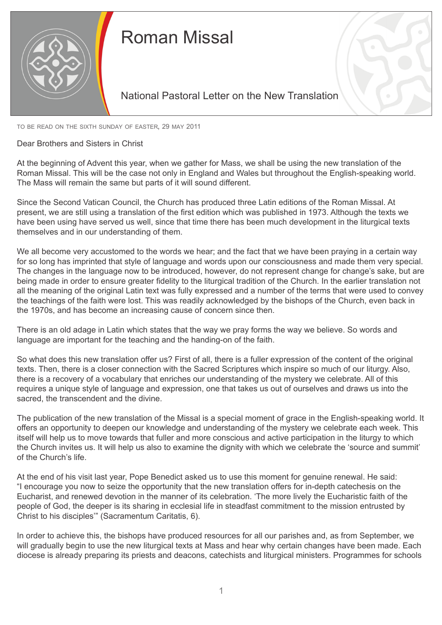

## Roman Missal

## National Pastoral Letter on the New Translation

to be read on the sixth sunday of easter, 29 may 2011

Dear Brothers and Sisters in Christ

At the beginning of Advent this year, when we gather for Mass, we shall be using the new translation of the Roman Missal. This will be the case not only in England and Wales but throughout the English-speaking world. The Mass will remain the same but parts of it will sound different.

Since the Second Vatican Council, the Church has produced three Latin editions of the Roman Missal. At present, we are still using a translation of the first edition which was published in 1973. Although the texts we have been using have served us well, since that time there has been much development in the liturgical texts themselves and in our understanding of them.

We all become very accustomed to the words we hear; and the fact that we have been praying in a certain way for so long has imprinted that style of language and words upon our consciousness and made them very special. The changes in the language now to be introduced, however, do not represent change for change's sake, but are being made in order to ensure greater fidelity to the liturgical tradition of the Church. In the earlier translation not all the meaning of the original Latin text was fully expressed and a number of the terms that were used to convey the teachings of the faith were lost. This was readily acknowledged by the bishops of the Church, even back in the 1970s, and has become an increasing cause of concern since then.

There is an old adage in Latin which states that the way we pray forms the way we believe. So words and language are important for the teaching and the handing-on of the faith.

So what does this new translation offer us? First of all, there is a fuller expression of the content of the original texts. Then, there is a closer connection with the Sacred Scriptures which inspire so much of our liturgy. Also, there is a recovery of a vocabulary that enriches our understanding of the mystery we celebrate. All of this requires a unique style of language and expression, one that takes us out of ourselves and draws us into the sacred, the transcendent and the divine.

The publication of the new translation of the Missal is a special moment of grace in the English-speaking world. It offers an opportunity to deepen our knowledge and understanding of the mystery we celebrate each week. This itself will help us to move towards that fuller and more conscious and active participation in the liturgy to which the Church invites us. It will help us also to examine the dignity with which we celebrate the 'source and summit' of the Church's life.

At the end of his visit last year, Pope Benedict asked us to use this moment for genuine renewal. He said: "I encourage you now to seize the opportunity that the new translation offers for in-depth catechesis on the Eucharist, and renewed devotion in the manner of its celebration. 'The more lively the Eucharistic faith of the people of God, the deeper is its sharing in ecclesial life in steadfast commitment to the mission entrusted by Christ to his disciples'" (Sacramentum Caritatis, 6).

In order to achieve this, the bishops have produced resources for all our parishes and, as from September, we will gradually begin to use the new liturgical texts at Mass and hear why certain changes have been made. Each diocese is already preparing its priests and deacons, catechists and liturgical ministers. Programmes for schools